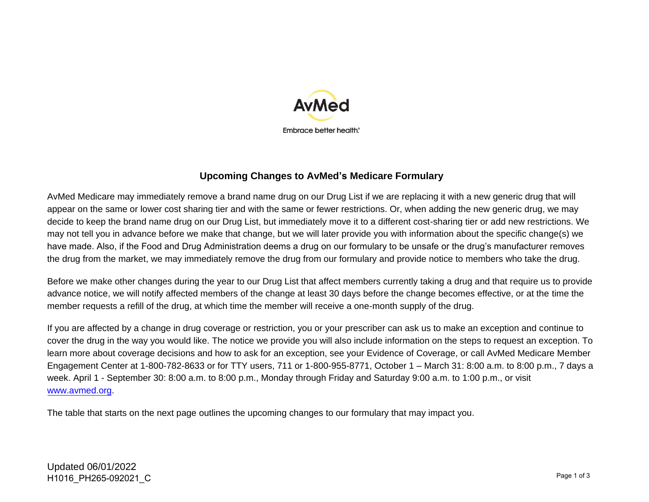

## **Upcoming Changes to AvMed's Medicare Formulary**

AvMed Medicare may immediately remove a brand name drug on our Drug List if we are replacing it with a new generic drug that will appear on the same or lower cost sharing tier and with the same or fewer restrictions. Or, when adding the new generic drug, we may decide to keep the brand name drug on our Drug List, but immediately move it to a different cost-sharing tier or add new restrictions. We may not tell you in advance before we make that change, but we will later provide you with information about the specific change(s) we have made. Also, if the Food and Drug Administration deems a drug on our formulary to be unsafe or the drug's manufacturer removes the drug from the market, we may immediately remove the drug from our formulary and provide notice to members who take the drug.

Before we make other changes during the year to our Drug List that affect members currently taking a drug and that require us to provide advance notice, we will notify affected members of the change at least 30 days before the change becomes effective, or at the time the member requests a refill of the drug, at which time the member will receive a one-month supply of the drug.

If you are affected by a change in drug coverage or restriction, you or your prescriber can ask us to make an exception and continue to cover the drug in the way you would like. The notice we provide you will also include information on the steps to request an exception. To learn more about coverage decisions and how to ask for an exception, see your Evidence of Coverage, or call AvMed Medicare Member Engagement Center at 1-800-782-8633 or for TTY users, 711 or 1-800-955-8771, October 1 – March 31: 8:00 a.m. to 8:00 p.m., 7 days a week. April 1 - September 30: 8:00 a.m. to 8:00 p.m., Monday through Friday and Saturday 9:00 a.m. to 1:00 p.m., or visit [www.avmed.org.](http://www.avmed.org/)

The table that starts on the next page outlines the upcoming changes to our formulary that may impact you.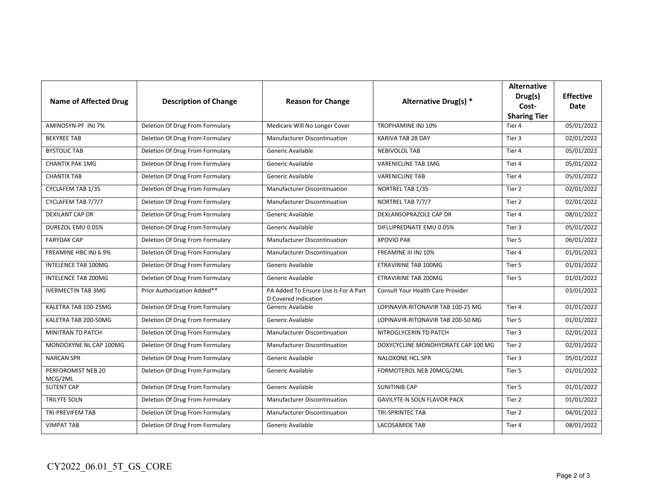| <b>Name of Affected Drug</b>  | <b>Description of Change</b>    | <b>Reason for Change</b>                                     | Alternative Drug(s) *              | <b>Alternative</b><br>Drug(s)<br>Cost-<br><b>Sharing Tier</b> | <b>Effective</b><br>Date |
|-------------------------------|---------------------------------|--------------------------------------------------------------|------------------------------------|---------------------------------------------------------------|--------------------------|
| AMINOSYN-PF INJ 7%            | Deletion Of Drug From Formulary | Medicare Will No Longer Cover                                | <b>TROPHAMINE INJ 10%</b>          | Tier 4                                                        | 05/01/2022               |
| <b>BEKYREE TAB</b>            | Deletion Of Drug From Formulary | <b>Manufacturer Discontinuation</b>                          | KARIVA TAB 28 DAY                  | Tier 3                                                        | 02/01/2022               |
| <b>BYSTOLIC TAB</b>           | Deletion Of Drug From Formulary | Generic Available                                            | <b>NEBIVOLOL TAB</b>               | Tier 4                                                        | 05/01/2022               |
| <b>CHANTIX PAK 1MG</b>        | Deletion Of Drug From Formulary | Generic Available                                            | VARENICLINE TAB 1MG                | Tier 4                                                        | 05/01/2022               |
| <b>CHANTIX TAB</b>            | Deletion Of Drug From Formulary | Generic Available                                            | <b>VARENICLINE TAB</b>             | Tier 4                                                        | 05/01/2022               |
| CYCLAFEM TAB 1/35             | Deletion Of Drug From Formulary | <b>Manufacturer Discontinuation</b>                          | NORTREL TAB 1/35                   | Tier 2                                                        | 02/01/2022               |
| CYCLAFEM TAB 7/7/7            | Deletion Of Drug From Formulary | Manufacturer Discontinuation                                 | NORTREL TAB 7/7/7                  | Tier 2                                                        | 02/01/2022               |
| <b>DEXILANT CAP DR</b>        | Deletion Of Drug From Formulary | Generic Available                                            | DEXLANSOPRAZOLE CAP DR             | Tier 4                                                        | 08/01/2022               |
| DUREZOL EMU 0.05%             | Deletion Of Drug From Formulary | Generic Available                                            | DIFLUPREDNATE EMU 0.05%            | Tier 3                                                        | 05/01/2022               |
| <b>FARYDAK CAP</b>            | Deletion Of Drug From Formulary | Manufacturer Discontinuation                                 | <b>XPOVIO PAK</b>                  | Tier 5                                                        | 06/01/2022               |
| FREAMINE HBC INJ 6.9%         | Deletion Of Drug From Formulary | Manufacturer Discontinuation                                 | FREAMINE III INJ 10%               | Tier 4                                                        | 01/01/2022               |
| <b>INTELENCE TAB 100MG</b>    | Deletion Of Drug From Formulary | Generic Available                                            | <b>ETRAVIRINE TAB 100MG</b>        | Tier 5                                                        | 01/01/2022               |
| <b>INTELENCE TAB 200MG</b>    | Deletion Of Drug From Formulary | Generic Available                                            | ETRAVIRINE TAB 200MG               | Tier 5                                                        | 01/01/2022               |
| <b>IVERMECTIN TAB 3MG</b>     | Prior Authorization Added**     | PA Added To Ensure Use Is For A Part<br>D Covered Indication | Consult Your Health Care Provider  |                                                               | 03/01/2022               |
| KALETRA TAB 100-25MG          | Deletion Of Drug From Formulary | Generic Available                                            | LOPINAVIR-RITONAVIR TAB 100-25 MG  | Tier 4                                                        | 01/01/2022               |
| KALETRA TAB 200-50MG          | Deletion Of Drug From Formulary | Generic Available                                            | LOPINAVIR-RITONAVIR TAB 200-50 MG  | Tier 5                                                        | 01/01/2022               |
| <b>MINITRAN TD PATCH</b>      | Deletion Of Drug From Formulary | <b>Manufacturer Discontinuation</b>                          | NITROGLYCERIN TD PATCH             | Tier 3                                                        | 02/01/2022               |
| MONDOXYNE NL CAP 100MG        | Deletion Of Drug From Formulary | Manufacturer Discontinuation                                 | DOXYCYCLINE MONOHYDRATE CAP 100 MG | Tier 2                                                        | 02/01/2022               |
| <b>NARCAN SPR</b>             | Deletion Of Drug From Formulary | Generic Available                                            | <b>NALOXONE HCL SPR</b>            | Tier 3                                                        | 05/01/2022               |
| PERFOROMIST NEB 20<br>MCG/2ML | Deletion Of Drug From Formulary | Generic Available                                            | FORMOTEROL NEB 20MCG/2ML           | Tier 5                                                        | 01/01/2022               |
| <b>SUTENT CAP</b>             | Deletion Of Drug From Formulary | Generic Available                                            | <b>SUNITINIB CAP</b>               | Tier 5                                                        | 01/01/2022               |
| TRILYTE SOLN                  | Deletion Of Drug From Formulary | Manufacturer Discontinuation                                 | <b>GAVILYTE-N SOLN FLAVOR PACK</b> | Tier 2                                                        | 01/01/2022               |
| TRI-PREVIFEM TAB              | Deletion Of Drug From Formulary | Manufacturer Discontinuation                                 | <b>TRI-SPRINTEC TAB</b>            | Tier 2                                                        | 04/01/2022               |
| <b>VIMPAT TAB</b>             | Deletion Of Drug From Formulary | Generic Available                                            | <b>LACOSAMIDE TAB</b>              | Tier 4                                                        | 08/01/2022               |